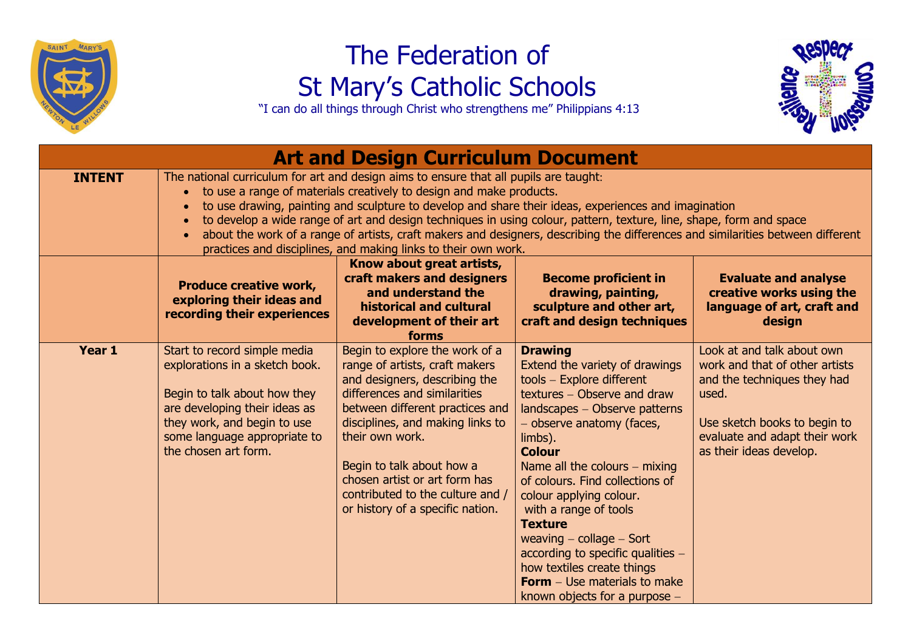

## The Federation of St Mary's Catholic Schools

"I can do all things through Christ who strengthens me" Philippians 4:13



| <b>Art and Design Curriculum Document</b> |                                                                                                                                                                                                                                                                                                                                                                                                                                                                                                                                                                                                  |                                                                                                                                                                                                                                                                                                                                                                   |                                                                                                                                                                                                                                                                                                                                                                                                                                                                                                                                 |                                                                                                                                                                                                  |  |  |  |
|-------------------------------------------|--------------------------------------------------------------------------------------------------------------------------------------------------------------------------------------------------------------------------------------------------------------------------------------------------------------------------------------------------------------------------------------------------------------------------------------------------------------------------------------------------------------------------------------------------------------------------------------------------|-------------------------------------------------------------------------------------------------------------------------------------------------------------------------------------------------------------------------------------------------------------------------------------------------------------------------------------------------------------------|---------------------------------------------------------------------------------------------------------------------------------------------------------------------------------------------------------------------------------------------------------------------------------------------------------------------------------------------------------------------------------------------------------------------------------------------------------------------------------------------------------------------------------|--------------------------------------------------------------------------------------------------------------------------------------------------------------------------------------------------|--|--|--|
| <b>INTENT</b>                             | The national curriculum for art and design aims to ensure that all pupils are taught:<br>to use a range of materials creatively to design and make products.<br>to use drawing, painting and sculpture to develop and share their ideas, experiences and imagination<br>to develop a wide range of art and design techniques in using colour, pattern, texture, line, shape, form and space<br>about the work of a range of artists, craft makers and designers, describing the differences and similarities between different<br>practices and disciplines, and making links to their own work. |                                                                                                                                                                                                                                                                                                                                                                   |                                                                                                                                                                                                                                                                                                                                                                                                                                                                                                                                 |                                                                                                                                                                                                  |  |  |  |
|                                           | <b>Produce creative work,</b><br>exploring their ideas and<br>recording their experiences                                                                                                                                                                                                                                                                                                                                                                                                                                                                                                        | Know about great artists,<br>craft makers and designers<br>and understand the<br>historical and cultural<br>development of their art<br>forms                                                                                                                                                                                                                     | <b>Become proficient in</b><br>drawing, painting,<br>sculpture and other art,<br>craft and design techniques                                                                                                                                                                                                                                                                                                                                                                                                                    | <b>Evaluate and analyse</b><br>creative works using the<br>language of art, craft and<br>design                                                                                                  |  |  |  |
| Year 1                                    | Start to record simple media<br>explorations in a sketch book.<br>Begin to talk about how they<br>are developing their ideas as<br>they work, and begin to use<br>some language appropriate to<br>the chosen art form.                                                                                                                                                                                                                                                                                                                                                                           | Begin to explore the work of a<br>range of artists, craft makers<br>and designers, describing the<br>differences and similarities<br>between different practices and<br>disciplines, and making links to<br>their own work.<br>Begin to talk about how a<br>chosen artist or art form has<br>contributed to the culture and /<br>or history of a specific nation. | <b>Drawing</b><br>Extend the variety of drawings<br>tools - Explore different<br>textures - Observe and draw<br>landscapes - Observe patterns<br>- observe anatomy (faces,<br>limbs).<br><b>Colour</b><br>Name all the colours $-$ mixing<br>of colours. Find collections of<br>colour applying colour.<br>with a range of tools<br><b>Texture</b><br>weaving $-$ collage $-$ Sort<br>according to specific qualities -<br>how textiles create things<br><b>Form</b> – Use materials to make<br>known objects for a purpose $-$ | Look at and talk about own<br>work and that of other artists<br>and the techniques they had<br>used.<br>Use sketch books to begin to<br>evaluate and adapt their work<br>as their ideas develop. |  |  |  |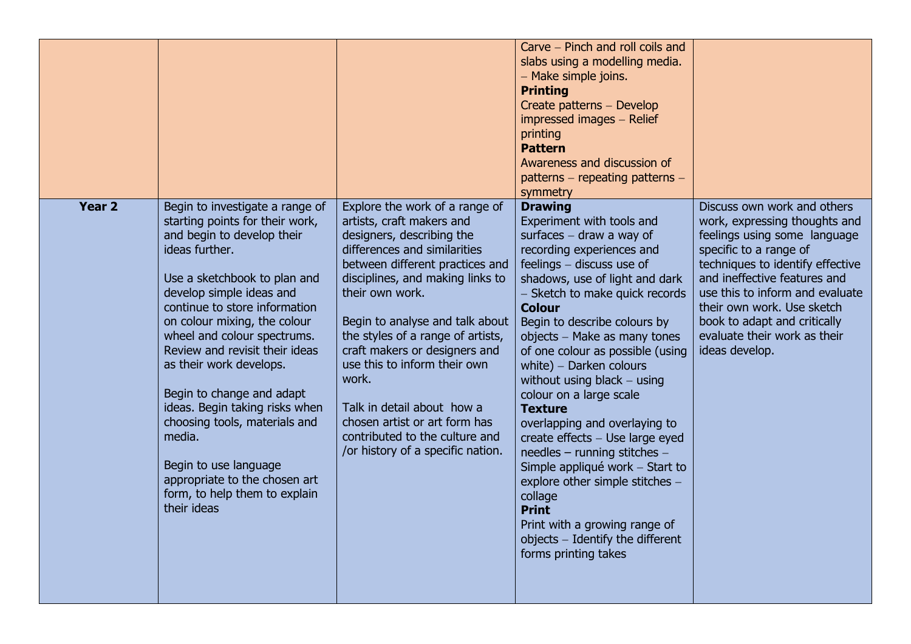|               |                                                                                                                                                                                                                                                                                                                                                                                                                                                                                                                                                                 |                                                                                                                                                                                                                                                                                                                                                                                                                                                                                                            | Carve – Pinch and roll coils and<br>slabs using a modelling media.<br>- Make simple joins.<br><b>Printing</b><br>Create patterns - Develop<br>impressed images - Relief<br>printing<br><b>Pattern</b><br>Awareness and discussion of<br>patterns - repeating patterns -<br>symmetry                                                                                                                                                                                                                                                                                                                                                                                                                                                       |                                                                                                                                                                                                                                                                                                                                               |
|---------------|-----------------------------------------------------------------------------------------------------------------------------------------------------------------------------------------------------------------------------------------------------------------------------------------------------------------------------------------------------------------------------------------------------------------------------------------------------------------------------------------------------------------------------------------------------------------|------------------------------------------------------------------------------------------------------------------------------------------------------------------------------------------------------------------------------------------------------------------------------------------------------------------------------------------------------------------------------------------------------------------------------------------------------------------------------------------------------------|-------------------------------------------------------------------------------------------------------------------------------------------------------------------------------------------------------------------------------------------------------------------------------------------------------------------------------------------------------------------------------------------------------------------------------------------------------------------------------------------------------------------------------------------------------------------------------------------------------------------------------------------------------------------------------------------------------------------------------------------|-----------------------------------------------------------------------------------------------------------------------------------------------------------------------------------------------------------------------------------------------------------------------------------------------------------------------------------------------|
| <b>Year 2</b> | Begin to investigate a range of<br>starting points for their work,<br>and begin to develop their<br>ideas further.<br>Use a sketchbook to plan and<br>develop simple ideas and<br>continue to store information<br>on colour mixing, the colour<br>wheel and colour spectrums.<br>Review and revisit their ideas<br>as their work develops.<br>Begin to change and adapt<br>ideas. Begin taking risks when<br>choosing tools, materials and<br>media.<br>Begin to use language<br>appropriate to the chosen art<br>form, to help them to explain<br>their ideas | Explore the work of a range of<br>artists, craft makers and<br>designers, describing the<br>differences and similarities<br>between different practices and<br>disciplines, and making links to<br>their own work.<br>Begin to analyse and talk about<br>the styles of a range of artists,<br>craft makers or designers and<br>use this to inform their own<br>work.<br>Talk in detail about how a<br>chosen artist or art form has<br>contributed to the culture and<br>/or history of a specific nation. | <b>Drawing</b><br>Experiment with tools and<br>surfaces $-$ draw a way of<br>recording experiences and<br>feelings - discuss use of<br>shadows, use of light and dark<br>- Sketch to make quick records<br><b>Colour</b><br>Begin to describe colours by<br>objects - Make as many tones<br>of one colour as possible (using<br>white) $-$ Darken colours<br>without using black $-$ using<br>colour on a large scale<br><b>Texture</b><br>overlapping and overlaying to<br>create effects - Use large eyed<br>needles - running stitches -<br>Simple appliqué work - Start to<br>explore other simple stitches -<br>collage<br><b>Print</b><br>Print with a growing range of<br>objects - Identify the different<br>forms printing takes | Discuss own work and others<br>work, expressing thoughts and<br>feelings using some language<br>specific to a range of<br>techniques to identify effective<br>and ineffective features and<br>use this to inform and evaluate<br>their own work. Use sketch<br>book to adapt and critically<br>evaluate their work as their<br>ideas develop. |